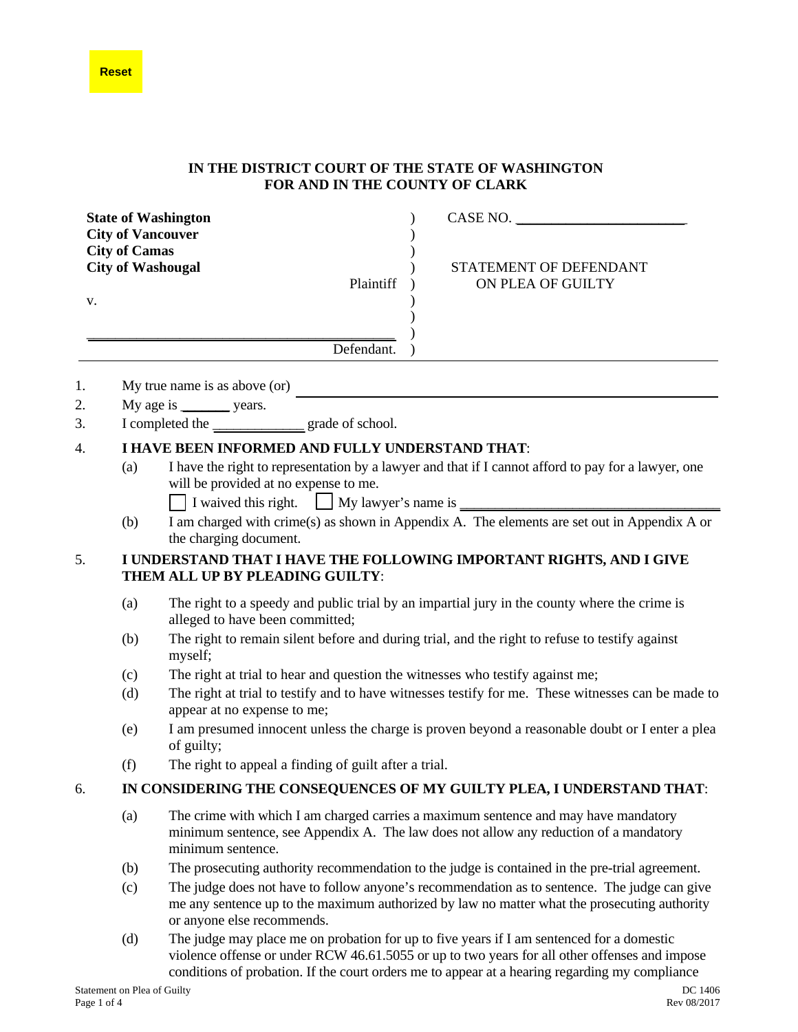## **Reset**

## **IN THE DISTRICT COURT OF THE STATE OF WASHINGTON FOR AND IN THE COUNTY OF CLARK**

|                                                                                                 |                                                                                                        | <b>State of Washington</b>                                                                                                                                                                                                 | CASE NO.                                                                                                                                                                                                                                                                                     |  |  |  |  |
|-------------------------------------------------------------------------------------------------|--------------------------------------------------------------------------------------------------------|----------------------------------------------------------------------------------------------------------------------------------------------------------------------------------------------------------------------------|----------------------------------------------------------------------------------------------------------------------------------------------------------------------------------------------------------------------------------------------------------------------------------------------|--|--|--|--|
| <b>City of Vancouver</b><br><b>City of Camas</b><br><b>City of Washougal</b><br>Plaintiff<br>V. |                                                                                                        |                                                                                                                                                                                                                            | STATEMENT OF DEFENDANT<br>ON PLEA OF GUILTY                                                                                                                                                                                                                                                  |  |  |  |  |
|                                                                                                 |                                                                                                        | Defendant.                                                                                                                                                                                                                 |                                                                                                                                                                                                                                                                                              |  |  |  |  |
| 1.                                                                                              |                                                                                                        | My true name is as above (or)                                                                                                                                                                                              |                                                                                                                                                                                                                                                                                              |  |  |  |  |
| 2.                                                                                              |                                                                                                        | My age is _________ years.                                                                                                                                                                                                 |                                                                                                                                                                                                                                                                                              |  |  |  |  |
| 3.                                                                                              |                                                                                                        | I completed the _______________ grade of school.                                                                                                                                                                           |                                                                                                                                                                                                                                                                                              |  |  |  |  |
| 4.                                                                                              | I HAVE BEEN INFORMED AND FULLY UNDERSTAND THAT:                                                        |                                                                                                                                                                                                                            |                                                                                                                                                                                                                                                                                              |  |  |  |  |
|                                                                                                 | (a)                                                                                                    | I have the right to representation by a lawyer and that if I cannot afford to pay for a lawyer, one<br>will be provided at no expense to me.<br>I waived this right. My lawyer's name is                                   |                                                                                                                                                                                                                                                                                              |  |  |  |  |
|                                                                                                 | (b)                                                                                                    | I am charged with crime(s) as shown in Appendix A. The elements are set out in Appendix A or<br>the charging document.                                                                                                     |                                                                                                                                                                                                                                                                                              |  |  |  |  |
| 5.                                                                                              | I UNDERSTAND THAT I HAVE THE FOLLOWING IMPORTANT RIGHTS, AND I GIVE<br>THEM ALL UP BY PLEADING GUILTY: |                                                                                                                                                                                                                            |                                                                                                                                                                                                                                                                                              |  |  |  |  |
|                                                                                                 | (a)                                                                                                    | The right to a speedy and public trial by an impartial jury in the county where the crime is<br>alleged to have been committed;                                                                                            |                                                                                                                                                                                                                                                                                              |  |  |  |  |
|                                                                                                 | (b)                                                                                                    | The right to remain silent before and during trial, and the right to refuse to testify against<br>myself;                                                                                                                  |                                                                                                                                                                                                                                                                                              |  |  |  |  |
|                                                                                                 | (c)                                                                                                    | The right at trial to hear and question the witnesses who testify against me;                                                                                                                                              |                                                                                                                                                                                                                                                                                              |  |  |  |  |
|                                                                                                 | (d)                                                                                                    | The right at trial to testify and to have witnesses testify for me. These witnesses can be made to<br>appear at no expense to me;                                                                                          |                                                                                                                                                                                                                                                                                              |  |  |  |  |
|                                                                                                 | (e)                                                                                                    | I am presumed innocent unless the charge is proven beyond a reasonable doubt or I enter a plea<br>of guilty;                                                                                                               |                                                                                                                                                                                                                                                                                              |  |  |  |  |
|                                                                                                 | (f)                                                                                                    | The right to appeal a finding of guilt after a trial.                                                                                                                                                                      |                                                                                                                                                                                                                                                                                              |  |  |  |  |
| 6.                                                                                              | IN CONSIDERING THE CONSEQUENCES OF MY GUILTY PLEA, I UNDERSTAND THAT:                                  |                                                                                                                                                                                                                            |                                                                                                                                                                                                                                                                                              |  |  |  |  |
|                                                                                                 | (a)                                                                                                    | The crime with which I am charged carries a maximum sentence and may have mandatory<br>minimum sentence, see Appendix A. The law does not allow any reduction of a mandatory<br>minimum sentence.                          |                                                                                                                                                                                                                                                                                              |  |  |  |  |
|                                                                                                 | (b)                                                                                                    | The prosecuting authority recommendation to the judge is contained in the pre-trial agreement.                                                                                                                             |                                                                                                                                                                                                                                                                                              |  |  |  |  |
|                                                                                                 | (c)                                                                                                    | The judge does not have to follow anyone's recommendation as to sentence. The judge can give<br>me any sentence up to the maximum authorized by law no matter what the prosecuting authority<br>or anyone else recommends. |                                                                                                                                                                                                                                                                                              |  |  |  |  |
|                                                                                                 | (d)                                                                                                    |                                                                                                                                                                                                                            | The judge may place me on probation for up to five years if I am sentenced for a domestic<br>violence offense or under RCW 46.61.5055 or up to two years for all other offenses and impose<br>conditions of probation. If the court orders me to appear at a hearing regarding my compliance |  |  |  |  |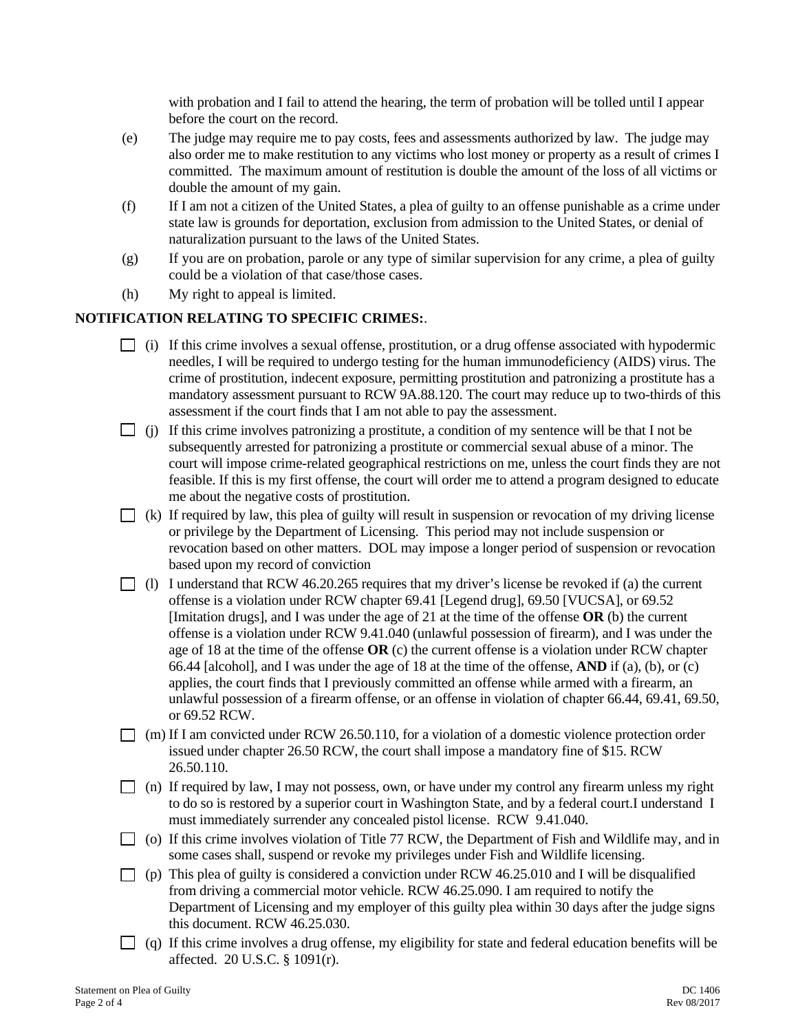with probation and I fail to attend the hearing, the term of probation will be tolled until I appear before the court on the record.

- (e) The judge may require me to pay costs, fees and assessments authorized by law. The judge may also order me to make restitution to any victims who lost money or property as a result of crimes I committed. The maximum amount of restitution is double the amount of the loss of all victims or double the amount of my gain.
- (f) If I am not a citizen of the United States, a plea of guilty to an offense punishable as a crime under state law is grounds for deportation, exclusion from admission to the United States, or denial of naturalization pursuant to the laws of the United States.
- (g) If you are on probation, parole or any type of similar supervision for any crime, a plea of guilty could be a violation of that case/those cases.
- (h) My right to appeal is limited.

## **NOTIFICATION RELATING TO SPECIFIC CRIMES:**.

- $\Box$  (i) If this crime involves a sexual offense, prostitution, or a drug offense associated with hypodermic needles, I will be required to undergo testing for the human immunodeficiency (AIDS) virus. The crime of prostitution, indecent exposure, permitting prostitution and patronizing a prostitute has a mandatory assessment pursuant to RCW 9A.88.120. The court may reduce up to two-thirds of this assessment if the court finds that I am not able to pay the assessment.
- $\Box$  (j) If this crime involves patronizing a prostitute, a condition of my sentence will be that I not be subsequently arrested for patronizing a prostitute or commercial sexual abuse of a minor. The court will impose crime-related geographical restrictions on me, unless the court finds they are not feasible. If this is my first offense, the court will order me to attend a program designed to educate me about the negative costs of prostitution.
- $\Box$  (k) If required by law, this plea of guilty will result in suspension or revocation of my driving license or privilege by the Department of Licensing. This period may not include suspension or revocation based on other matters. DOL may impose a longer period of suspension or revocation based upon my record of conviction
- $\Box$  (l) I understand that RCW 46.20.265 requires that my driver's license be revoked if (a) the current offense is a violation under RCW chapter 69.41 [Legend drug], 69.50 [VUCSA], or 69.52 [Imitation drugs], and I was under the age of 21 at the time of the offense **OR** (b) the current offense is a violation under RCW 9.41.040 (unlawful possession of firearm), and I was under the age of 18 at the time of the offense **OR** (c) the current offense is a violation under RCW chapter 66.44 [alcohol], and I was under the age of 18 at the time of the offense, **AND** if (a), (b), or (c) applies, the court finds that I previously committed an offense while armed with a firearm, an unlawful possession of a firearm offense, or an offense in violation of chapter 66.44, 69.41, 69.50, or 69.52 RCW.
- $\Box$  (m) If I am convicted under RCW 26.50.110, for a violation of a domestic violence protection order issued under chapter 26.50 RCW, the court shall impose a mandatory fine of \$15. RCW 26.50.110.
- $\Box$  (n) If required by law, I may not possess, own, or have under my control any firearm unless my right to do so is restored by a superior court in Washington State, and by a federal court.I understand I must immediately surrender any concealed pistol license. RCW 9.41.040.
- $\Box$  (o) If this crime involves violation of Title 77 RCW, the Department of Fish and Wildlife may, and in some cases shall, suspend or revoke my privileges under Fish and Wildlife licensing.
- $\Box$  (p) This plea of guilty is considered a conviction under RCW 46.25.010 and I will be disqualified from driving a commercial motor vehicle. RCW 46.25.090. I am required to notify the Department of Licensing and my employer of this guilty plea within 30 days after the judge signs this document. RCW 46.25.030.
- $\Box$  (q) If this crime involves a drug offense, my eligibility for state and federal education benefits will be affected. 20 U.S.C. § 1091(r).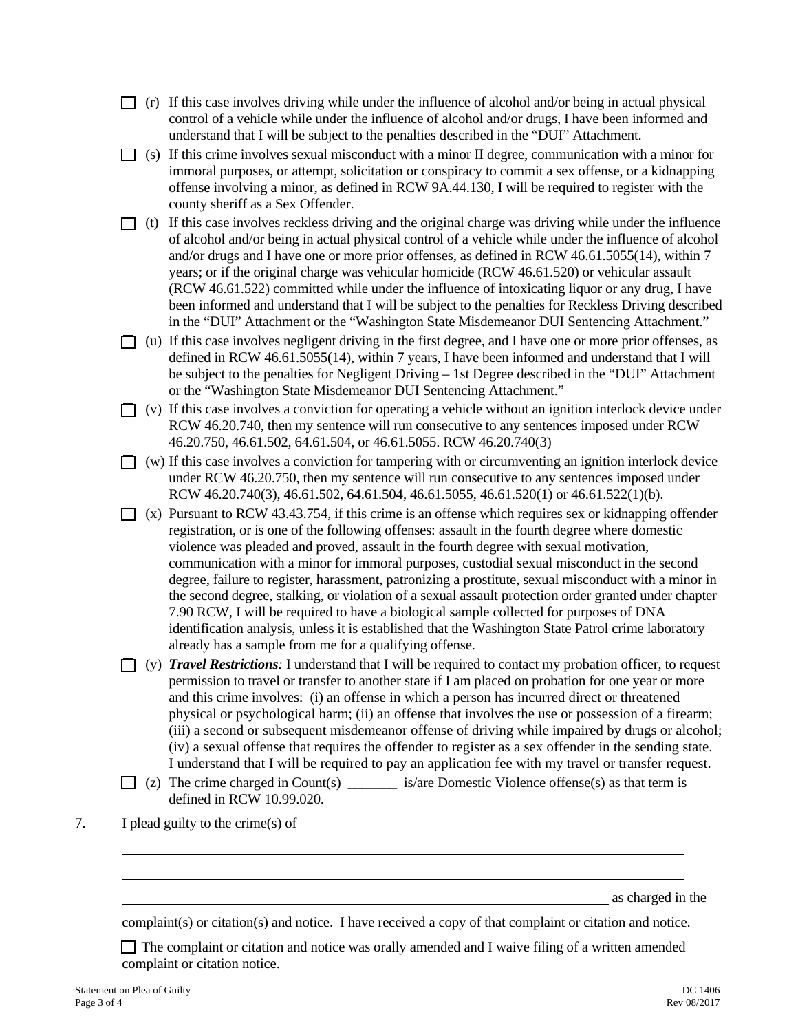- $\Box$  (r) If this case involves driving while under the influence of alcohol and/or being in actual physical control of a vehicle while under the influence of alcohol and/or drugs, I have been informed and understand that I will be subject to the penalties described in the "DUI" Attachment.
- $\Box$  (s) If this crime involves sexual misconduct with a minor II degree, communication with a minor for immoral purposes, or attempt, solicitation or conspiracy to commit a sex offense, or a kidnapping offense involving a minor, as defined in RCW 9A.44.130, I will be required to register with the county sheriff as a Sex Offender.
- $\Box$  (t) If this case involves reckless driving and the original charge was driving while under the influence of alcohol and/or being in actual physical control of a vehicle while under the influence of alcohol and/or drugs and I have one or more prior offenses, as defined in RCW 46.61.5055(14), within 7 years; or if the original charge was vehicular homicide (RCW 46.61.520) or vehicular assault (RCW 46.61.522) committed while under the influence of intoxicating liquor or any drug, I have been informed and understand that I will be subject to the penalties for Reckless Driving described in the "DUI" Attachment or the "Washington State Misdemeanor DUI Sentencing Attachment."
- $\Box$  (u) If this case involves negligent driving in the first degree, and I have one or more prior offenses, as defined in RCW 46.61.5055(14), within 7 years, I have been informed and understand that I will be subject to the penalties for Negligent Driving – 1st Degree described in the "DUI" Attachment or the "Washington State Misdemeanor DUI Sentencing Attachment."
- $\Box$  (v) If this case involves a conviction for operating a vehicle without an ignition interlock device under RCW 46.20.740, then my sentence will run consecutive to any sentences imposed under RCW 46.20.750, 46.61.502, 64.61.504, or 46.61.5055. RCW 46.20.740(3)
- $\Box$  (w) If this case involves a conviction for tampering with or circumventing an ignition interlock device under RCW 46.20.750, then my sentence will run consecutive to any sentences imposed under RCW 46.20.740(3), 46.61.502, 64.61.504, 46.61.5055, 46.61.520(1) or 46.61.522(1)(b).
- $\Box$  (x) Pursuant to RCW 43.43.754, if this crime is an offense which requires sex or kidnapping offender registration, or is one of the following offenses: assault in the fourth degree where domestic violence was pleaded and proved, assault in the fourth degree with sexual motivation, communication with a minor for immoral purposes, custodial sexual misconduct in the second degree, failure to register, harassment, patronizing a prostitute, sexual misconduct with a minor in the second degree, stalking, or violation of a sexual assault protection order granted under chapter 7.90 RCW, I will be required to have a biological sample collected for purposes of DNA identification analysis, unless it is established that the Washington State Patrol crime laboratory already has a sample from me for a qualifying offense.
- (y) *Travel Restrictions:* I understand that I will be required to contact my probation officer, to request permission to travel or transfer to another state if I am placed on probation for one year or more and this crime involves: (i) an offense in which a person has incurred direct or threatened physical or psychological harm; (ii) an offense that involves the use or possession of a firearm; (iii) a second or subsequent misdemeanor offense of driving while impaired by drugs or alcohol; (iv) a sexual offense that requires the offender to register as a sex offender in the sending state. I understand that I will be required to pay an application fee with my travel or transfer request.
- (z) The crime charged in Count(s)  $\qquad \qquad$  is/are Domestic Violence offense(s) as that term is defined in RCW 10.99.020.
- 7. I plead guilty to the crime(s) of

as charged in the

complaint(s) or citation(s) and notice. I have received a copy of that complaint or citation and notice.

 The complaint or citation and notice was orally amended and I waive filing of a written amended complaint or citation notice.

 $\overline{a}$  $\overline{a}$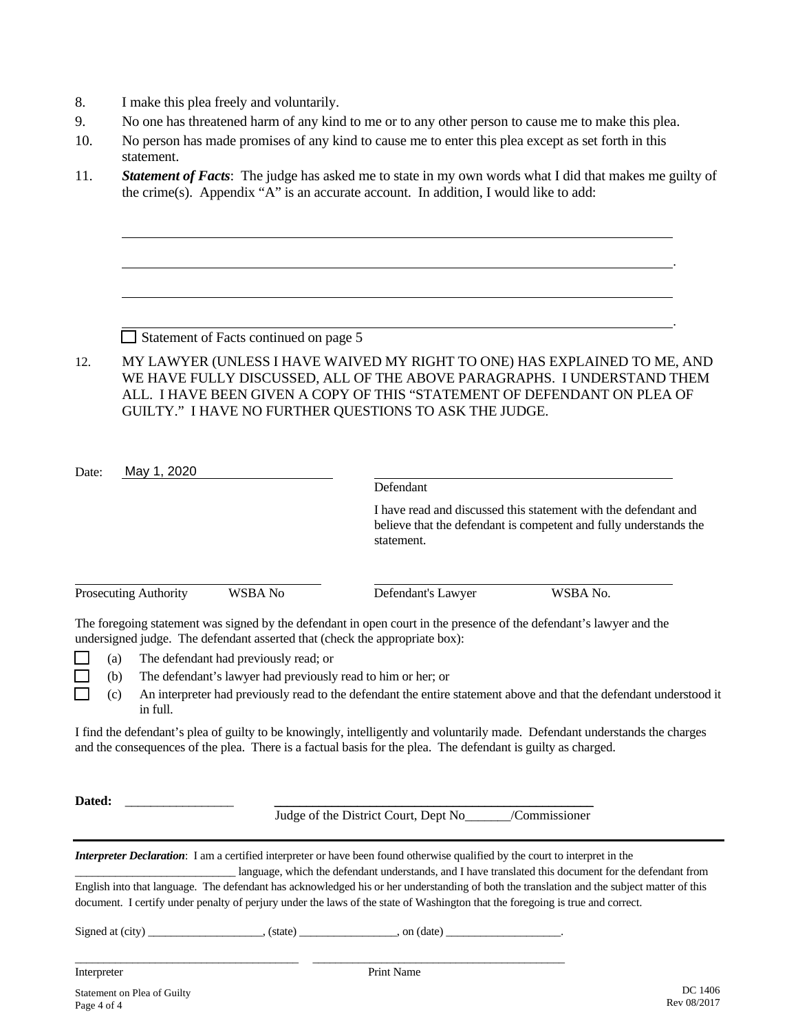- 8. I make this plea freely and voluntarily.
- 9. No one has threatened harm of any kind to me or to any other person to cause me to make this plea.
- 10. No person has made promises of any kind to cause me to enter this plea except as set forth in this statement.
- 11. *Statement of Facts*: The judge has asked me to state in my own words what I did that makes me guilty of the crime(s). Appendix "A" is an accurate account. In addition, I would like to add:

Statement of Facts continued on page 5

12. MY LAWYER (UNLESS I HAVE WAIVED MY RIGHT TO ONE) HAS EXPLAINED TO ME, AND WE HAVE FULLY DISCUSSED, ALL OF THE ABOVE PARAGRAPHS. I UNDERSTAND THEM ALL. I HAVE BEEN GIVEN A COPY OF THIS "STATEMENT OF DEFENDANT ON PLEA OF GUILTY." I HAVE NO FURTHER QUESTIONS TO ASK THE JUDGE.

| Date:       |            | May 1, 2020                                                                                                                     |                                       |                                                                                                                                                                                                    |                                                                                                                                            |  |  |
|-------------|------------|---------------------------------------------------------------------------------------------------------------------------------|---------------------------------------|----------------------------------------------------------------------------------------------------------------------------------------------------------------------------------------------------|--------------------------------------------------------------------------------------------------------------------------------------------|--|--|
|             |            |                                                                                                                                 |                                       | Defendant                                                                                                                                                                                          |                                                                                                                                            |  |  |
|             | statement. |                                                                                                                                 |                                       | I have read and discussed this statement with the defendant and<br>believe that the defendant is competent and fully understands the                                                               |                                                                                                                                            |  |  |
|             |            | Prosecuting Authority                                                                                                           | WSBA No                               | Defendant's Lawyer                                                                                                                                                                                 | WSBA No.                                                                                                                                   |  |  |
|             |            |                                                                                                                                 |                                       | The foregoing statement was signed by the defendant in open court in the presence of the defendant's lawyer and the<br>undersigned judge. The defendant asserted that (check the appropriate box): |                                                                                                                                            |  |  |
|             | (a)        |                                                                                                                                 | The defendant had previously read; or |                                                                                                                                                                                                    |                                                                                                                                            |  |  |
|             | (b)        | The defendant's lawyer had previously read to him or her; or                                                                    |                                       |                                                                                                                                                                                                    |                                                                                                                                            |  |  |
|             | (c)        | An interpreter had previously read to the defendant the entire statement above and that the defendant understood it<br>in full. |                                       |                                                                                                                                                                                                    |                                                                                                                                            |  |  |
|             |            |                                                                                                                                 |                                       | and the consequences of the plea. There is a factual basis for the plea. The defendant is guilty as charged.                                                                                       | I find the defendant's plea of guilty to be knowingly, intelligently and voluntarily made. Defendant understands the charges               |  |  |
| Dated:      |            |                                                                                                                                 |                                       | Judge of the District Court, Dept No<br><u>Commissioner</u>                                                                                                                                        |                                                                                                                                            |  |  |
|             |            |                                                                                                                                 |                                       | Interpreter Declaration: I am a certified interpreter or have been found otherwise qualified by the court to interpret in the                                                                      | language, which the defendant understands, and I have translated this document for the defendant from                                      |  |  |
|             |            |                                                                                                                                 |                                       | document. I certify under penalty of perjury under the laws of the state of Washington that the foregoing is true and correct.                                                                     | English into that language. The defendant has acknowledged his or her understanding of both the translation and the subject matter of this |  |  |
|             |            |                                                                                                                                 |                                       | Signed at $\text{(city)}$ (state) no $\text{(date)}$ , $\text{on (date)}$                                                                                                                          |                                                                                                                                            |  |  |
| Interpreter |            |                                                                                                                                 |                                       | <b>Print Name</b>                                                                                                                                                                                  |                                                                                                                                            |  |  |
|             |            |                                                                                                                                 |                                       |                                                                                                                                                                                                    | DC 1406                                                                                                                                    |  |  |

Statement on Plea of Guilty<br>
Page 4 of 4<br>
Rev 08/2017  $P_{\text{age}}$  4 of 4 Rev 08/2017

.

.